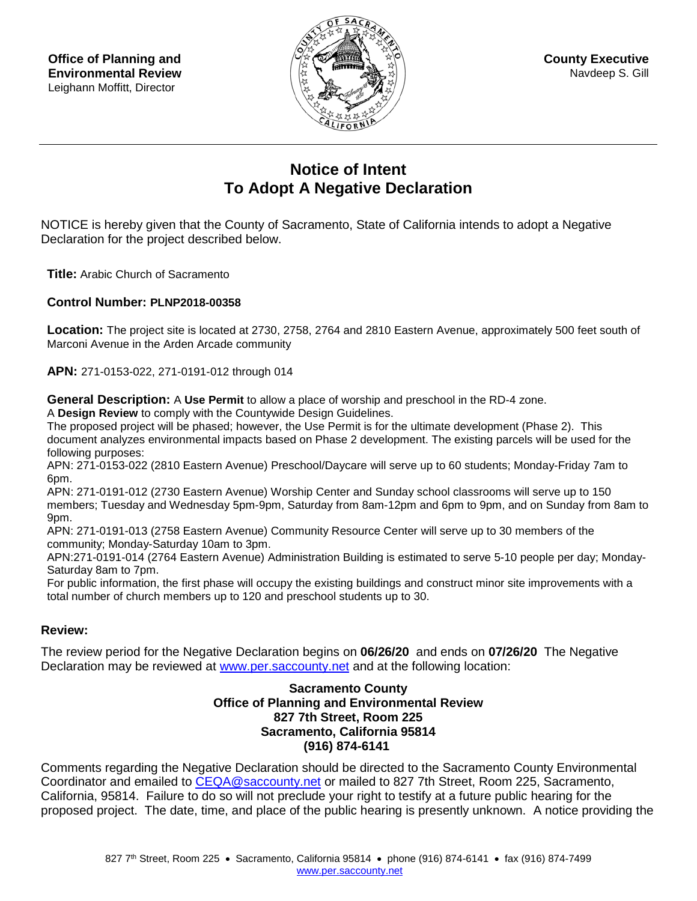**Office of Planning and Environmental Review**  Leighann Moffitt, Director



**County Executive** Navdeep S. Gill

## **Notice of Intent To Adopt A Negative Declaration**

NOTICE is hereby given that the County of Sacramento, State of California intends to adopt a Negative Declaration for the project described below.

**Title:** Arabic Church of Sacramento

## **Control Number: PLNP2018-00358**

**Location:** The project site is located at 2730, 2758, 2764 and 2810 Eastern Avenue, approximately 500 feet south of Marconi Avenue in the Arden Arcade community

**APN:** 271-0153-022, 271-0191-012 through 014

**General Description:** A **Use Permit** to allow a place of worship and preschool in the RD-4 zone. A **Design Review** to comply with the Countywide Design Guidelines.

The proposed project will be phased; however, the Use Permit is for the ultimate development (Phase 2). This

document analyzes environmental impacts based on Phase 2 development. The existing parcels will be used for the following purposes:

APN: 271-0153-022 (2810 Eastern Avenue) Preschool/Daycare will serve up to 60 students; Monday-Friday 7am to 6pm.

APN: 271-0191-012 (2730 Eastern Avenue) Worship Center and Sunday school classrooms will serve up to 150 members; Tuesday and Wednesday 5pm-9pm, Saturday from 8am-12pm and 6pm to 9pm, and on Sunday from 8am to 9pm.

APN: 271-0191-013 (2758 Eastern Avenue) Community Resource Center will serve up to 30 members of the community; Monday-Saturday 10am to 3pm.

APN:271-0191-014 (2764 Eastern Avenue) Administration Building is estimated to serve 5-10 people per day; Monday-Saturday 8am to 7pm.

For public information, the first phase will occupy the existing buildings and construct minor site improvements with a total number of church members up to 120 and preschool students up to 30.

## **Review:**

The review period for the Negative Declaration begins on **06/26/20** and ends on **07/26/20** The Negative Declaration may be reviewed at [www.per.saccounty.net](http://www.per.saccounty.net/) and at the following location:

## **Sacramento County Office of Planning and Environmental Review 827 7th Street, Room 225 Sacramento, California 95814 (916) 874-6141**

Comments regarding the Negative Declaration should be directed to the Sacramento County Environmental Coordinator and emailed to CEQA@saccounty.net or mailed to 827 7th Street, Room 225, Sacramento, California, 95814. Failure to do so will not preclude your right to testify at a future public hearing for the proposed project. The date, time, and place of the public hearing is presently unknown. A notice providing the